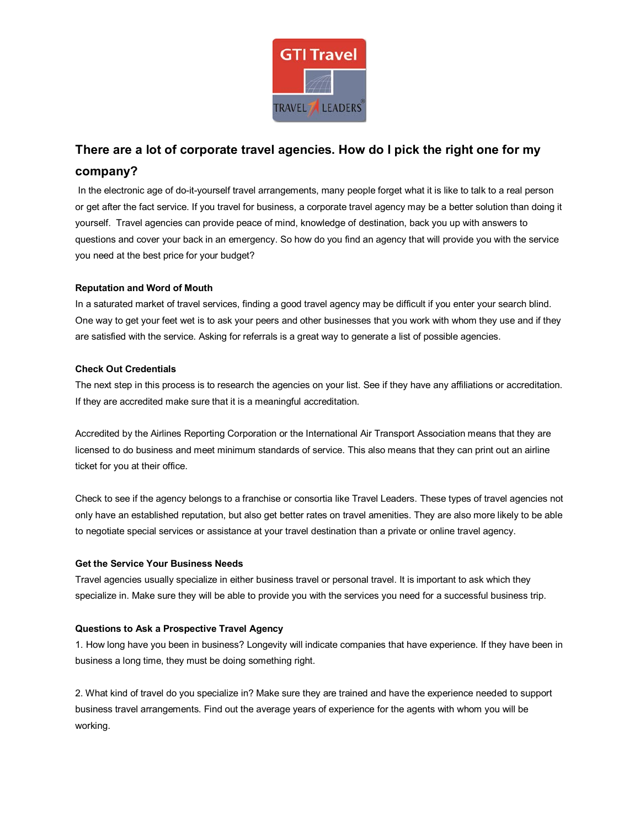

# **There are a lot of corporate travel agencies. How do I pick the right one for my company?**

In the electronic age of do-it-yourself travel arrangements, many people forget what it is like to talk to a real person or get after the fact service. If you travel for business, a corporate travel agency may be a better solution than doing it yourself. Travel agencies can provide peace of mind, knowledge of [destination,](http://www.essortment.com/corporate-travel-tips-choosing-travel-agent-small-business-23808.html) back you up with answers to questions and cover your back in an emergency. So how do you find an agency that will provide you with the service you need at the best price for your budget?

## **Reputation and Word of Mouth**

In a saturated market of travel services, finding a good travel agency may be difficult if you enter your search blind. One way to get your feet wet is to ask your peers and other businesses that you work with whom they use and if they are satisfied with the service. Asking for referrals is a great way to generate a list of possible agencies.

## **Check Out Credentials**

The next step in this process is to research the agencies on your list. See if they have any affiliations or accreditation. If they are accredited make sure that it is a meaningful accreditation.

Accredited by the [Airlines](http://www.essortment.com/corporate-travel-tips-choosing-travel-agent-small-business-23808.html) Reporting Corporation or the International Air Transport Association means that they are licensed to do business and meet minimum standards of service. This also means that they can print out an airline ticket for you at their office.

Check to see if the agency belongs to a franchise or consortia like Travel Leaders. These types of travel agencies not only have an established reputation, but also get better rates on trave[l amenities.](http://www.essortment.com/corporate-travel-tips-choosing-travel-agent-small-business-23808.html) They are also more likely to be able to negotiate special services or assistance at your travel destination than a private or [online](http://www.essortment.com/corporate-travel-tips-choosing-travel-agent-small-business-23808.html) travel agency.

### **Get the Service Your Business Needs**

Travel agencies usually specialize in either business travel or personal travel. It is important to ask which they specialize in. Make sure they will be able to provide you with the services you need for a successful business trip.

### **Questions to Ask a Prospective Travel Agency**

1. How long have you been in business? Longevity will indicate companies that have experience. If they have been in business a long time, they must be doing something right.

2. What kind of travel do you specialize in? Make sure they are trained and have the experience needed to support business travel arrangements. Find out the average years of experience for the agents with whom you will be working.